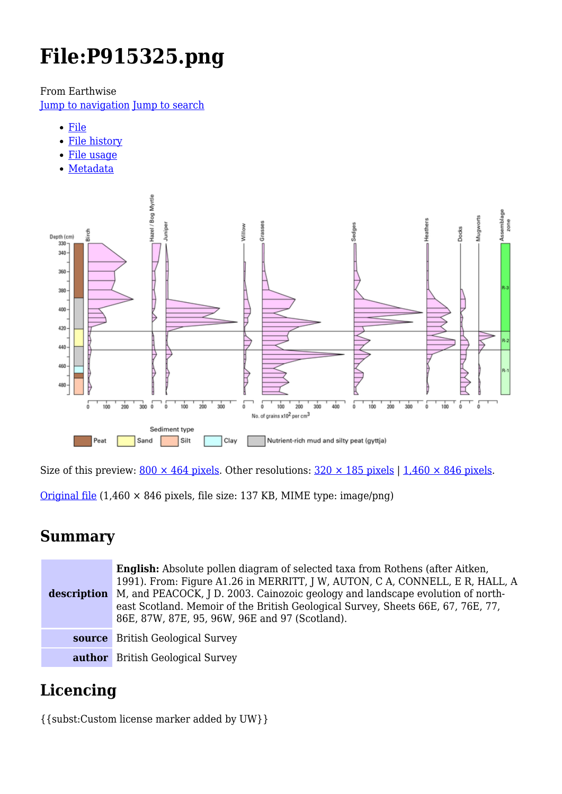# **File:P915325.png**

From Earthwise

[Jump to navigation](#page--1-0) [Jump to search](#page--1-0)

- [File](#page--1-0)
- [File history](#page--1-0)
- [File usage](#page--1-0)
- [Metadata](#page--1-0)



Size of this preview:  $800 \times 464$  pixels. Other resolutions:  $320 \times 185$  pixels | 1,460  $\times 846$  pixels.

[Original file](http://earthwise.bgs.ac.uk/images/d/d3/P915325.png)  $(1,460 \times 846)$  pixels, file size: 137 KB, MIME type: image/png)

# **Summary**

**description** M, and PEACOCK, J D. 2003. Cainozoic geology and landscape evolution of north-**English:** Absolute pollen diagram of selected taxa from Rothens (after Aitken, 1991). From: Figure A1.26 in MERRITT, J W, AUTON, C A, CONNELL, E R, HALL, A east Scotland. Memoir of the British Geological Survey, Sheets 66E, 67, 76E, 77, 86E, 87W, 87E, 95, 96W, 96E and 97 (Scotland). **source** British Geological Survey **author** British Geological Survey

# **Licencing**

{{subst:Custom license marker added by UW}}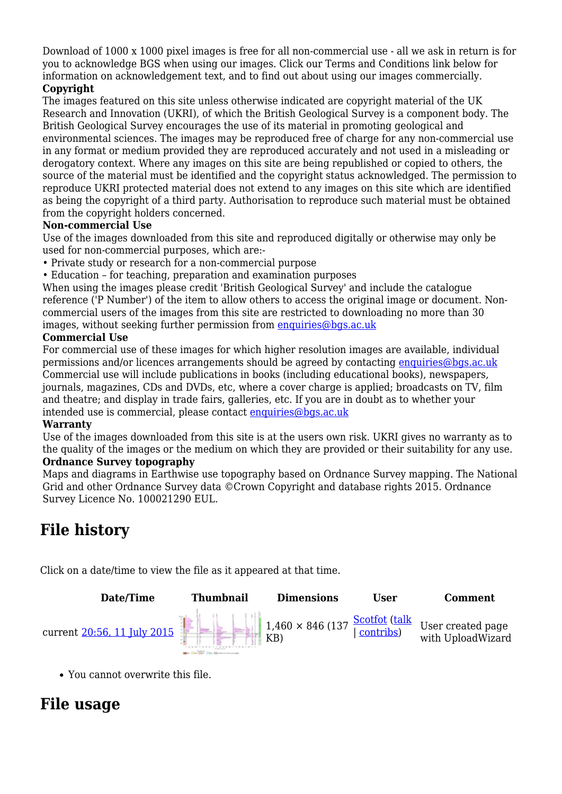Download of 1000 x 1000 pixel images is free for all non-commercial use - all we ask in return is for you to acknowledge BGS when using our images. Click our Terms and Conditions link below for information on acknowledgement text, and to find out about using our images commercially.

#### **Copyright**

The images featured on this site unless otherwise indicated are copyright material of the UK Research and Innovation (UKRI), of which the British Geological Survey is a component body. The British Geological Survey encourages the use of its material in promoting geological and environmental sciences. The images may be reproduced free of charge for any non-commercial use in any format or medium provided they are reproduced accurately and not used in a misleading or derogatory context. Where any images on this site are being republished or copied to others, the source of the material must be identified and the copyright status acknowledged. The permission to reproduce UKRI protected material does not extend to any images on this site which are identified as being the copyright of a third party. Authorisation to reproduce such material must be obtained from the copyright holders concerned.

#### **Non-commercial Use**

Use of the images downloaded from this site and reproduced digitally or otherwise may only be used for non-commercial purposes, which are:-

- Private study or research for a non-commercial purpose
- Education for teaching, preparation and examination purposes

When using the images please credit 'British Geological Survey' and include the catalogue reference ('P Number') of the item to allow others to access the original image or document. Noncommercial users of the images from this site are restricted to downloading no more than 30 images, without seeking further permission from [enquiries@bgs.ac.uk](mailto:enquiries@bgs.ac.uk)

#### **Commercial Use**

For commercial use of these images for which higher resolution images are available, individual permissions and/or licences arrangements should be agreed by contacting [enquiries@bgs.ac.uk](mailto:enquiries@bgs.ac.uk) Commercial use will include publications in books (including educational books), newspapers, journals, magazines, CDs and DVDs, etc, where a cover charge is applied; broadcasts on TV, film and theatre; and display in trade fairs, galleries, etc. If you are in doubt as to whether your intended use is commercial, please contact [enquiries@bgs.ac.uk](mailto:enquiries@bgs.ac.uk)

#### **Warranty**

Use of the images downloaded from this site is at the users own risk. UKRI gives no warranty as to the quality of the images or the medium on which they are provided or their suitability for any use. **Ordnance Survey topography**

Maps and diagrams in Earthwise use topography based on Ordnance Survey mapping. The National Grid and other Ordnance Survey data ©Crown Copyright and database rights 2015. Ordnance Survey Licence No. 100021290 EUL.

# **File history**

Click on a date/time to view the file as it appeared at that time.



You cannot overwrite this file.

# **File usage**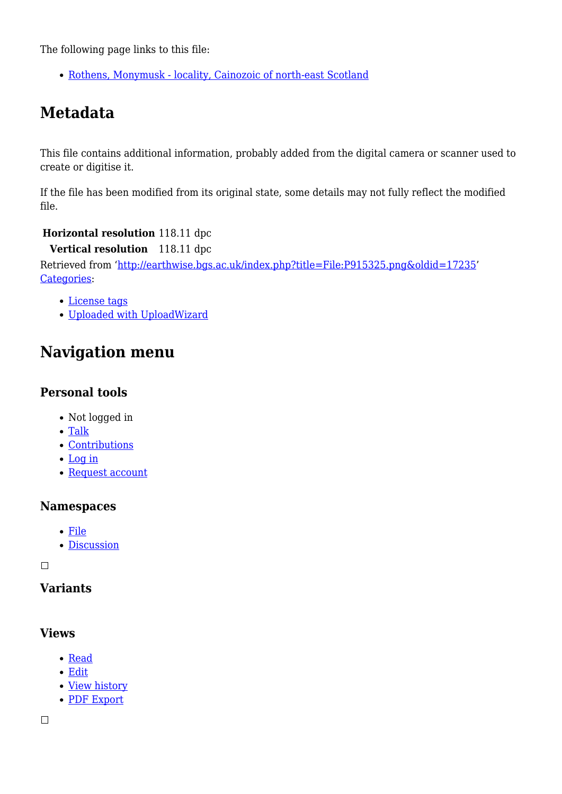The following page links to this file:

• [Rothens, Monymusk - locality, Cainozoic of north-east Scotland](http://earthwise.bgs.ac.uk/index.php/Rothens,_Monymusk_-_locality,_Cainozoic_of_north-east_Scotland)

# **Metadata**

This file contains additional information, probably added from the digital camera or scanner used to create or digitise it.

If the file has been modified from its original state, some details may not fully reflect the modified file.

#### **Horizontal resolution** 118.11 dpc

**Vertical resolution** 118.11 dpc

Retrieved from ['http://earthwise.bgs.ac.uk/index.php?title=File:P915325.png&oldid=17235'](http://earthwise.bgs.ac.uk/index.php?title=File:P915325.png&oldid=17235) [Categories:](http://earthwise.bgs.ac.uk/index.php/Special:Categories)

- [License tags](http://earthwise.bgs.ac.uk/index.php/Category:License_tags)
- [Uploaded with UploadWizard](http://earthwise.bgs.ac.uk/index.php/Category:Uploaded_with_UploadWizard)

# **Navigation menu**

### **Personal tools**

- Not logged in
- [Talk](http://earthwise.bgs.ac.uk/index.php/Special:MyTalk)
- [Contributions](http://earthwise.bgs.ac.uk/index.php/Special:MyContributions)
- [Log in](http://earthwise.bgs.ac.uk/index.php?title=Special:UserLogin&returnto=File%3AP915325.png&returntoquery=action%3Dmpdf)
- [Request account](http://earthwise.bgs.ac.uk/index.php/Special:RequestAccount)

### **Namespaces**

- [File](http://earthwise.bgs.ac.uk/index.php/File:P915325.png)
- [Discussion](http://earthwise.bgs.ac.uk/index.php?title=File_talk:P915325.png&action=edit&redlink=1)

 $\Box$ 

### **Variants**

### **Views**

- [Read](http://earthwise.bgs.ac.uk/index.php/File:P915325.png)
- [Edit](http://earthwise.bgs.ac.uk/index.php?title=File:P915325.png&action=edit)
- [View history](http://earthwise.bgs.ac.uk/index.php?title=File:P915325.png&action=history)
- [PDF Export](http://earthwise.bgs.ac.uk/index.php?title=File:P915325.png&action=mpdf)

 $\Box$